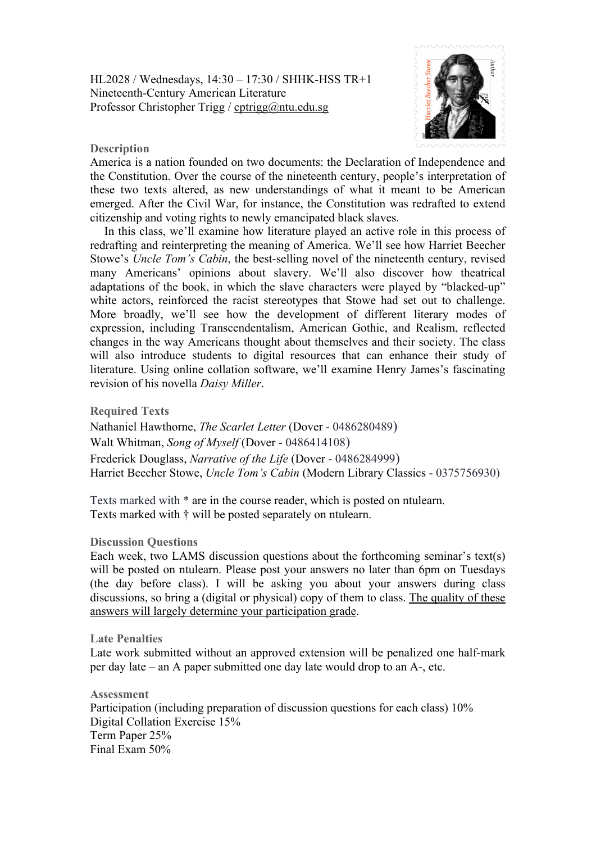

## **Description**

America is a nation founded on two documents: the Declaration of Independence and the Constitution. Over the course of the nineteenth century, people's interpretation of these two texts altered, as new understandings of what it meant to be American emerged. After the Civil War, for instance, the Constitution was redrafted to extend citizenship and voting rights to newly emancipated black slaves.

In this class, we'll examine how literature played an active role in this process of redrafting and reinterpreting the meaning of America. We'll see how Harriet Beecher Stowe's *Uncle Tom's Cabin*, the best-selling novel of the nineteenth century, revised many Americans' opinions about slavery. We'll also discover how theatrical adaptations of the book, in which the slave characters were played by "blacked-up" white actors, reinforced the racist stereotypes that Stowe had set out to challenge. More broadly, we'll see how the development of different literary modes of expression, including Transcendentalism, American Gothic, and Realism, reflected changes in the way Americans thought about themselves and their society. The class will also introduce students to digital resources that can enhance their study of literature. Using online collation software, we'll examine Henry James's fascinating revision of his novella *Daisy Miller*.

**Required Texts**

Nathaniel Hawthorne, *The Scarlet Letter* (Dover - 0486280489) Walt Whitman, *Song of Myself* (Dover - 0486414108) Frederick Douglass, *Narrative of the Life* (Dover - 0486284999) Harriet Beecher Stowe, *Uncle Tom's Cabin* (Modern Library Classics - 0375756930)

Texts marked with \* are in the course reader, which is posted on ntulearn. Texts marked with † will be posted separately on ntulearn.

## **Discussion Questions**

Each week, two LAMS discussion questions about the forthcoming seminar's text(s) will be posted on ntulearn. Please post your answers no later than 6pm on Tuesdays (the day before class). I will be asking you about your answers during class discussions, so bring a (digital or physical) copy of them to class. The quality of these answers will largely determine your participation grade.

## **Late Penalties**

Late work submitted without an approved extension will be penalized one half-mark per day late – an A paper submitted one day late would drop to an A-, etc.

**Assessment** Participation (including preparation of discussion questions for each class) 10% Digital Collation Exercise 15% Term Paper 25% Final Exam 50%